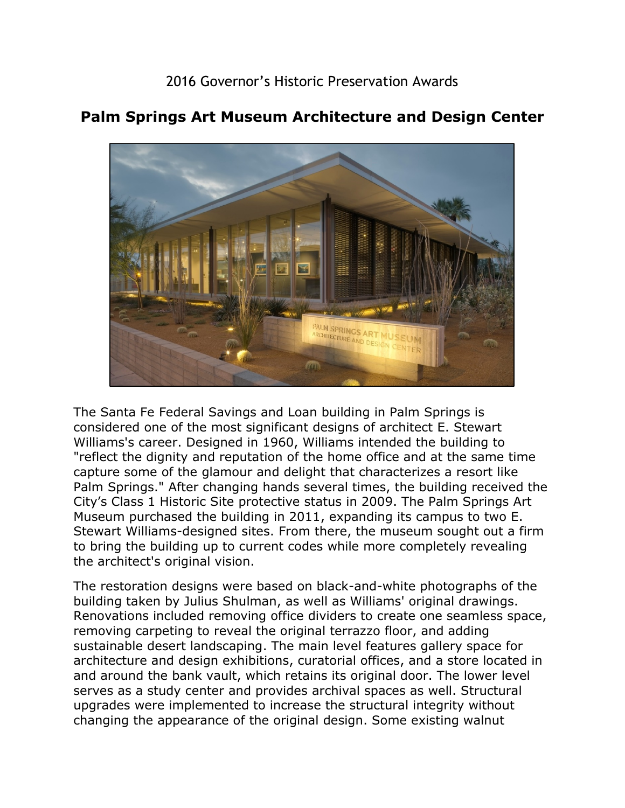

## **Palm Springs Art Museum Architecture and Design Center**

 Williams's career. Designed in 1960, Williams intended the building to "reflect the dignity and reputation of the home office and at the same time Museum purchased the building in 2011, expanding its campus to two E. The Santa Fe Federal Savings and Loan building in Palm Springs is considered one of the most significant designs of architect E. Stewart capture some of the glamour and delight that characterizes a resort like Palm Springs." After changing hands several times, the building received the City's Class 1 Historic Site protective status in 2009. The Palm Springs Art Stewart Williams-designed sites. From there, the museum sought out a firm to bring the building up to current codes while more completely revealing the architect's original vision.

The restoration designs were based on black-and-white photographs of the building taken by Julius Shulman, as well as Williams' original drawings. Renovations included removing office dividers to create one seamless space, removing carpeting to reveal the original terrazzo floor, and adding sustainable desert landscaping. The main level features gallery space for architecture and design exhibitions, curatorial offices, and a store located in and around the bank vault, which retains its original door. The lower level serves as a study center and provides archival spaces as well. Structural upgrades were implemented to increase the structural integrity without changing the appearance of the original design. Some existing walnut